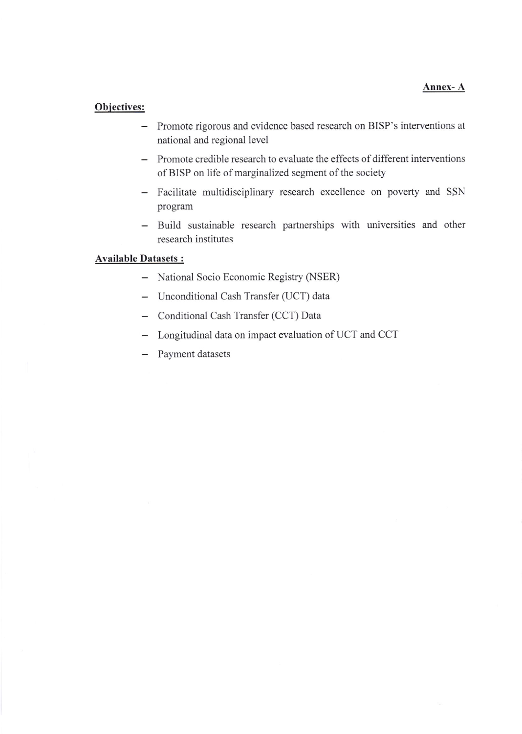## Objectives:

- Promote rigorous and evidence based research on BISP's interventions at national and regional level
- Promote credible research to evaluate the effects of different interventions of BISP on life of marginalized segment of the society
- Facilitate multidisciplinary research excellence on poverty and SSN program
- Build sustainable research partnerships with universities and other research institutes

## Available Datasets :

- National Socio Economic Registry (NSER)
- Unconditional Cash Transfer (UCT) data
- Conditional Cash Transfer (CCT) Data
- Longitudinal data on impact evaluation of UCT and CCT
- Payment datasets